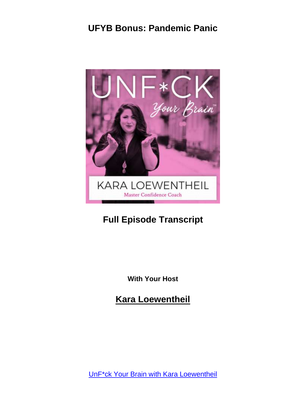

# **Full Episode Transcript**

**With Your Host**

**Kara Loewentheil**

UnF\*ck Your Brain with Kara [Loewentheil](https://unfuckyourbrain.com/podcast/)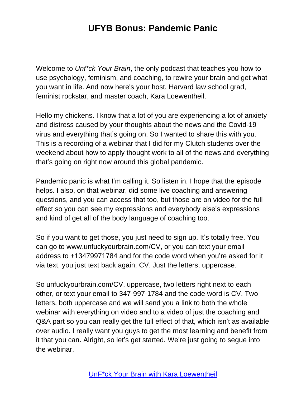Welcome to *Unf\*ck Your Brain*, the only podcast that teaches you how to use psychology, feminism, and coaching, to rewire your brain and get what you want in life. And now here's your host, Harvard law school grad, feminist rockstar, and master coach, Kara Loewentheil.

Hello my chickens. I know that a lot of you are experiencing a lot of anxiety and distress caused by your thoughts about the news and the Covid-19 virus and everything that's going on. So I wanted to share this with you. This is a recording of a webinar that I did for my Clutch students over the weekend about how to apply thought work to all of the news and everything that's going on right now around this global pandemic.

Pandemic panic is what I'm calling it. So listen in. I hope that the episode helps. I also, on that webinar, did some live coaching and answering questions, and you can access that too, but those are on video for the full effect so you can see my expressions and everybody else's expressions and kind of get all of the body language of coaching too.

So if you want to get those, you just need to sign up. It's totally free. You can go to www.unfuckyourbrain.com/CV, or you can text your email address to +13479971784 and for the code word when you're asked for it via text, you just text back again, CV. Just the letters, uppercase.

So unfuckyourbrain.com/CV, uppercase, two letters right next to each other, or text your email to 347-997-1784 and the code word is CV. Two letters, both uppercase and we will send you a link to both the whole webinar with everything on video and to a video of just the coaching and Q&A part so you can really get the full effect of that, which isn't as available over audio. I really want you guys to get the most learning and benefit from it that you can. Alright, so let's get started. We're just going to segue into the webinar.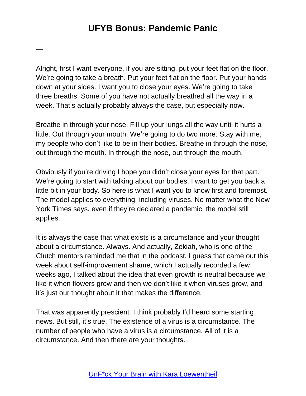—

Alright, first I want everyone, if you are sitting, put your feet flat on the floor. We're going to take a breath. Put your feet flat on the floor. Put your hands down at your sides. I want you to close your eyes. We're going to take three breaths. Some of you have not actually breathed all the way in a week. That's actually probably always the case, but especially now.

Breathe in through your nose. Fill up your lungs all the way until it hurts a little. Out through your mouth. We're going to do two more. Stay with me, my people who don't like to be in their bodies. Breathe in through the nose, out through the mouth. In through the nose, out through the mouth.

Obviously if you're driving I hope you didn't close your eyes for that part. We're going to start with talking about our bodies. I want to get you back a little bit in your body. So here is what I want you to know first and foremost. The model applies to everything, including viruses. No matter what the New York Times says, even if they're declared a pandemic, the model still applies.

It is always the case that what exists is a circumstance and your thought about a circumstance. Always. And actually, Zekiah, who is one of the Clutch mentors reminded me that in the podcast, I guess that came out this week about self-improvement shame, which I actually recorded a few weeks ago, I talked about the idea that even growth is neutral because we like it when flowers grow and then we don't like it when viruses grow, and it's just our thought about it that makes the difference.

That was apparently prescient. I think probably I'd heard some starting news. But still, it's true. The existence of a virus is a circumstance. The number of people who have a virus is a circumstance. All of it is a circumstance. And then there are your thoughts.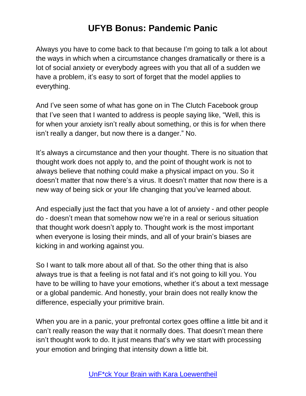Always you have to come back to that because I'm going to talk a lot about the ways in which when a circumstance changes dramatically or there is a lot of social anxiety or everybody agrees with you that all of a sudden we have a problem, it's easy to sort of forget that the model applies to everything.

And I've seen some of what has gone on in The Clutch Facebook group that I've seen that I wanted to address is people saying like, "Well, this is for when your anxiety isn't really about something, or this is for when there isn't really a danger, but now there is a danger." No.

It's always a circumstance and then your thought. There is no situation that thought work does not apply to, and the point of thought work is not to always believe that nothing could make a physical impact on you. So it doesn't matter that now there's a virus. It doesn't matter that now there is a new way of being sick or your life changing that you've learned about.

And especially just the fact that you have a lot of anxiety - and other people do - doesn't mean that somehow now we're in a real or serious situation that thought work doesn't apply to. Thought work is the most important when everyone is losing their minds, and all of your brain's biases are kicking in and working against you.

So I want to talk more about all of that. So the other thing that is also always true is that a feeling is not fatal and it's not going to kill you. You have to be willing to have your emotions, whether it's about a text message or a global pandemic. And honestly, your brain does not really know the difference, especially your primitive brain.

When you are in a panic, your prefrontal cortex goes offline a little bit and it can't really reason the way that it normally does. That doesn't mean there isn't thought work to do. It just means that's why we start with processing your emotion and bringing that intensity down a little bit.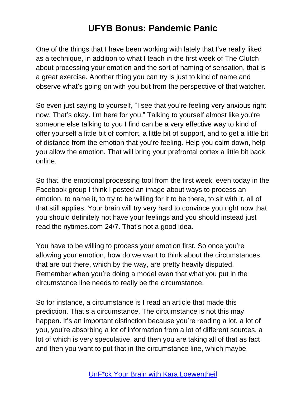One of the things that I have been working with lately that I've really liked as a technique, in addition to what I teach in the first week of The Clutch about processing your emotion and the sort of naming of sensation, that is a great exercise. Another thing you can try is just to kind of name and observe what's going on with you but from the perspective of that watcher.

So even just saying to yourself, "I see that you're feeling very anxious right now. That's okay. I'm here for you." Talking to yourself almost like you're someone else talking to you I find can be a very effective way to kind of offer yourself a little bit of comfort, a little bit of support, and to get a little bit of distance from the emotion that you're feeling. Help you calm down, help you allow the emotion. That will bring your prefrontal cortex a little bit back online.

So that, the emotional processing tool from the first week, even today in the Facebook group I think I posted an image about ways to process an emotion, to name it, to try to be willing for it to be there, to sit with it, all of that still applies. Your brain will try very hard to convince you right now that you should definitely not have your feelings and you should instead just read the nytimes.com 24/7. That's not a good idea.

You have to be willing to process your emotion first. So once you're allowing your emotion, how do we want to think about the circumstances that are out there, which by the way, are pretty heavily disputed. Remember when you're doing a model even that what you put in the circumstance line needs to really be the circumstance.

So for instance, a circumstance is I read an article that made this prediction. That's a circumstance. The circumstance is not this may happen. It's an important distinction because you're reading a lot, a lot of you, you're absorbing a lot of information from a lot of different sources, a lot of which is very speculative, and then you are taking all of that as fact and then you want to put that in the circumstance line, which maybe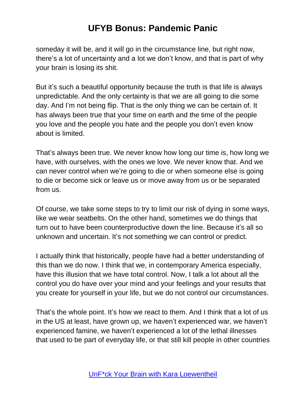someday it will be, and it will go in the circumstance line, but right now, there's a lot of uncertainty and a lot we don't know, and that is part of why your brain is losing its shit.

But it's such a beautiful opportunity because the truth is that life is always unpredictable. And the only certainty is that we are all going to die some day. And I'm not being flip. That is the only thing we can be certain of. It has always been true that your time on earth and the time of the people you love and the people you hate and the people you don't even know about is limited.

That's always been true. We never know how long our time is, how long we have, with ourselves, with the ones we love. We never know that. And we can never control when we're going to die or when someone else is going to die or become sick or leave us or move away from us or be separated from us.

Of course, we take some steps to try to limit our risk of dying in some ways, like we wear seatbelts. On the other hand, sometimes we do things that turn out to have been counterproductive down the line. Because it's all so unknown and uncertain. It's not something we can control or predict.

I actually think that historically, people have had a better understanding of this than we do now. I think that we, in contemporary America especially, have this illusion that we have total control. Now, I talk a lot about all the control you do have over your mind and your feelings and your results that you create for yourself in your life, but we do not control our circumstances.

That's the whole point. It's how we react to them. And I think that a lot of us in the US at least, have grown up, we haven't experienced war, we haven't experienced famine, we haven't experienced a lot of the lethal illnesses that used to be part of everyday life, or that still kill people in other countries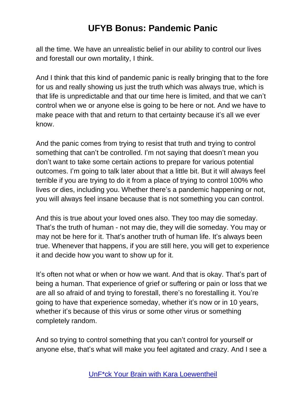all the time. We have an unrealistic belief in our ability to control our lives and forestall our own mortality, I think.

And I think that this kind of pandemic panic is really bringing that to the fore for us and really showing us just the truth which was always true, which is that life is unpredictable and that our time here is limited, and that we can't control when we or anyone else is going to be here or not. And we have to make peace with that and return to that certainty because it's all we ever know.

And the panic comes from trying to resist that truth and trying to control something that can't be controlled. I'm not saying that doesn't mean you don't want to take some certain actions to prepare for various potential outcomes. I'm going to talk later about that a little bit. But it will always feel terrible if you are trying to do it from a place of trying to control 100% who lives or dies, including you. Whether there's a pandemic happening or not, you will always feel insane because that is not something you can control.

And this is true about your loved ones also. They too may die someday. That's the truth of human - not may die, they will die someday. You may or may not be here for it. That's another truth of human life. It's always been true. Whenever that happens, if you are still here, you will get to experience it and decide how you want to show up for it.

It's often not what or when or how we want. And that is okay. That's part of being a human. That experience of grief or suffering or pain or loss that we are all so afraid of and trying to forestall, there's no forestalling it. You're going to have that experience someday, whether it's now or in 10 years, whether it's because of this virus or some other virus or something completely random.

And so trying to control something that you can't control for yourself or anyone else, that's what will make you feel agitated and crazy. And I see a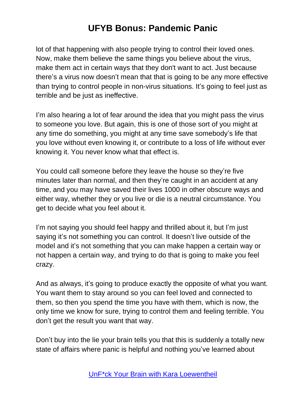lot of that happening with also people trying to control their loved ones. Now, make them believe the same things you believe about the virus, make them act in certain ways that they don't want to act. Just because there's a virus now doesn't mean that that is going to be any more effective than trying to control people in non-virus situations. It's going to feel just as terrible and be just as ineffective.

I'm also hearing a lot of fear around the idea that you might pass the virus to someone you love. But again, this is one of those sort of you might at any time do something, you might at any time save somebody's life that you love without even knowing it, or contribute to a loss of life without ever knowing it. You never know what that effect is.

You could call someone before they leave the house so they're five minutes later than normal, and then they're caught in an accident at any time, and you may have saved their lives 1000 in other obscure ways and either way, whether they or you live or die is a neutral circumstance. You get to decide what you feel about it.

I'm not saying you should feel happy and thrilled about it, but I'm just saying it's not something you can control. It doesn't live outside of the model and it's not something that you can make happen a certain way or not happen a certain way, and trying to do that is going to make you feel crazy.

And as always, it's going to produce exactly the opposite of what you want. You want them to stay around so you can feel loved and connected to them, so then you spend the time you have with them, which is now, the only time we know for sure, trying to control them and feeling terrible. You don't get the result you want that way.

Don't buy into the lie your brain tells you that this is suddenly a totally new state of affairs where panic is helpful and nothing you've learned about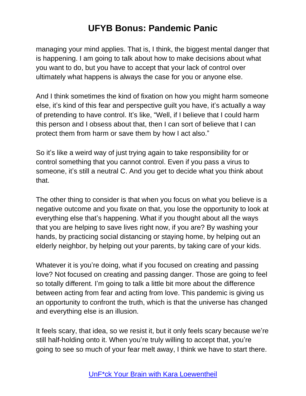managing your mind applies. That is, I think, the biggest mental danger that is happening. I am going to talk about how to make decisions about what you want to do, but you have to accept that your lack of control over ultimately what happens is always the case for you or anyone else.

And I think sometimes the kind of fixation on how you might harm someone else, it's kind of this fear and perspective guilt you have, it's actually a way of pretending to have control. It's like, "Well, if I believe that I could harm this person and I obsess about that, then I can sort of believe that I can protect them from harm or save them by how I act also."

So it's like a weird way of just trying again to take responsibility for or control something that you cannot control. Even if you pass a virus to someone, it's still a neutral C. And you get to decide what you think about that.

The other thing to consider is that when you focus on what you believe is a negative outcome and you fixate on that, you lose the opportunity to look at everything else that's happening. What if you thought about all the ways that you are helping to save lives right now, if you are? By washing your hands, by practicing social distancing or staying home, by helping out an elderly neighbor, by helping out your parents, by taking care of your kids.

Whatever it is you're doing, what if you focused on creating and passing love? Not focused on creating and passing danger. Those are going to feel so totally different. I'm going to talk a little bit more about the difference between acting from fear and acting from love. This pandemic is giving us an opportunity to confront the truth, which is that the universe has changed and everything else is an illusion.

It feels scary, that idea, so we resist it, but it only feels scary because we're still half-holding onto it. When you're truly willing to accept that, you're going to see so much of your fear melt away, I think we have to start there.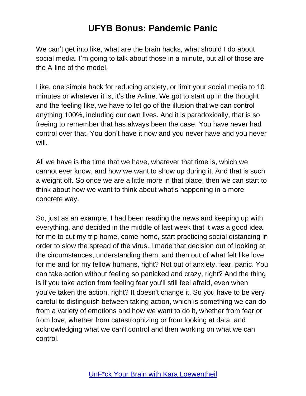We can't get into like, what are the brain hacks, what should I do about social media. I'm going to talk about those in a minute, but all of those are the A-line of the model.

Like, one simple hack for reducing anxiety, or limit your social media to 10 minutes or whatever it is, it's the A-line. We got to start up in the thought and the feeling like, we have to let go of the illusion that we can control anything 100%, including our own lives. And it is paradoxically, that is so freeing to remember that has always been the case. You have never had control over that. You don't have it now and you never have and you never will.

All we have is the time that we have, whatever that time is, which we cannot ever know, and how we want to show up during it. And that is such a weight off. So once we are a little more in that place, then we can start to think about how we want to think about what's happening in a more concrete way.

So, just as an example, I had been reading the news and keeping up with everything, and decided in the middle of last week that it was a good idea for me to cut my trip home, come home, start practicing social distancing in order to slow the spread of the virus. I made that decision out of looking at the circumstances, understanding them, and then out of what felt like love for me and for my fellow humans, right? Not out of anxiety, fear, panic. You can take action without feeling so panicked and crazy, right? And the thing is if you take action from feeling fear you'll still feel afraid, even when you've taken the action, right? It doesn't change it. So you have to be very careful to distinguish between taking action, which is something we can do from a variety of emotions and how we want to do it, whether from fear or from love, whether from catastrophizing or from looking at data, and acknowledging what we can't control and then working on what we can control.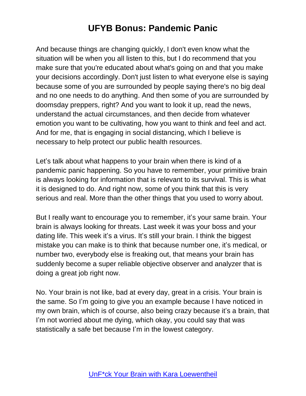And because things are changing quickly, I don't even know what the situation will be when you all listen to this, but I do recommend that you make sure that you're educated about what's going on and that you make your decisions accordingly. Don't just listen to what everyone else is saying because some of you are surrounded by people saying there's no big deal and no one needs to do anything. And then some of you are surrounded by doomsday preppers, right? And you want to look it up, read the news, understand the actual circumstances, and then decide from whatever emotion you want to be cultivating, how you want to think and feel and act. And for me, that is engaging in social distancing, which I believe is necessary to help protect our public health resources.

Let's talk about what happens to your brain when there is kind of a pandemic panic happening. So you have to remember, your primitive brain is always looking for information that is relevant to its survival. This is what it is designed to do. And right now, some of you think that this is very serious and real. More than the other things that you used to worry about.

But I really want to encourage you to remember, it's your same brain. Your brain is always looking for threats. Last week it was your boss and your dating life. This week it's a virus. It's still your brain. I think the biggest mistake you can make is to think that because number one, it's medical, or number two, everybody else is freaking out, that means your brain has suddenly become a super reliable objective observer and analyzer that is doing a great job right now.

No. Your brain is not like, bad at every day, great in a crisis. Your brain is the same. So I'm going to give you an example because I have noticed in my own brain, which is of course, also being crazy because it's a brain, that I'm not worried about me dying, which okay, you could say that was statistically a safe bet because I'm in the lowest category.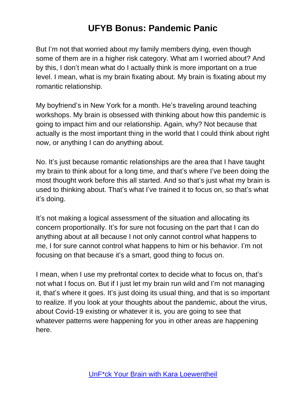But I'm not that worried about my family members dying, even though some of them are in a higher risk category. What am I worried about? And by this, I don't mean what do I actually think is more important on a true level. I mean, what is my brain fixating about. My brain is fixating about my romantic relationship.

My boyfriend's in New York for a month. He's traveling around teaching workshops. My brain is obsessed with thinking about how this pandemic is going to impact him and our relationship. Again, why? Not because that actually is the most important thing in the world that I could think about right now, or anything I can do anything about.

No. It's just because romantic relationships are the area that I have taught my brain to think about for a long time, and that's where I've been doing the most thought work before this all started. And so that's just what my brain is used to thinking about. That's what I've trained it to focus on, so that's what it's doing.

It's not making a logical assessment of the situation and allocating its concern proportionally. It's for sure not focusing on the part that I can do anything about at all because I not only cannot control what happens to me, I for sure cannot control what happens to him or his behavior. I'm not focusing on that because it's a smart, good thing to focus on.

I mean, when I use my prefrontal cortex to decide what to focus on, that's not what I focus on. But if I just let my brain run wild and I'm not managing it, that's where it goes. It's just doing its usual thing, and that is so important to realize. If you look at your thoughts about the pandemic, about the virus, about Covid-19 existing or whatever it is, you are going to see that whatever patterns were happening for you in other areas are happening here.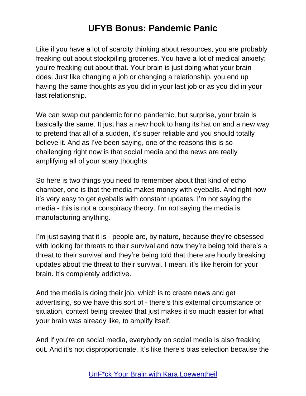Like if you have a lot of scarcity thinking about resources, you are probably freaking out about stockpiling groceries. You have a lot of medical anxiety; you're freaking out about that. Your brain is just doing what your brain does. Just like changing a job or changing a relationship, you end up having the same thoughts as you did in your last job or as you did in your last relationship.

We can swap out pandemic for no pandemic, but surprise, your brain is basically the same. It just has a new hook to hang its hat on and a new way to pretend that all of a sudden, it's super reliable and you should totally believe it. And as I've been saying, one of the reasons this is so challenging right now is that social media and the news are really amplifying all of your scary thoughts.

So here is two things you need to remember about that kind of echo chamber, one is that the media makes money with eyeballs. And right now it's very easy to get eyeballs with constant updates. I'm not saying the media - this is not a conspiracy theory. I'm not saying the media is manufacturing anything.

I'm just saying that it is - people are, by nature, because they're obsessed with looking for threats to their survival and now they're being told there's a threat to their survival and they're being told that there are hourly breaking updates about the threat to their survival. I mean, it's like heroin for your brain. It's completely addictive.

And the media is doing their job, which is to create news and get advertising, so we have this sort of - there's this external circumstance or situation, context being created that just makes it so much easier for what your brain was already like, to amplify itself.

And if you're on social media, everybody on social media is also freaking out. And it's not disproportionate. It's like there's bias selection because the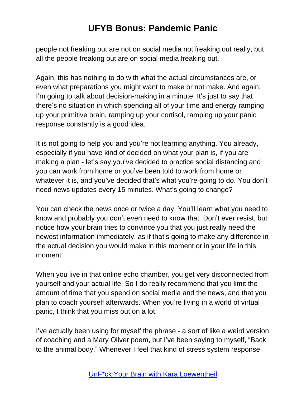people not freaking out are not on social media not freaking out really, but all the people freaking out are on social media freaking out.

Again, this has nothing to do with what the actual circumstances are, or even what preparations you might want to make or not make. And again, I'm going to talk about decision-making in a minute. It's just to say that there's no situation in which spending all of your time and energy ramping up your primitive brain, ramping up your cortisol, ramping up your panic response constantly is a good idea.

It is not going to help you and you're not learning anything. You already, especially if you have kind of decided on what your plan is, if you are making a plan - let's say you've decided to practice social distancing and you can work from home or you've been told to work from home or whatever it is, and you've decided that's what you're going to do. You don't need news updates every 15 minutes. What's going to change?

You can check the news once or twice a day. You'll learn what you need to know and probably you don't even need to know that. Don't ever resist, but notice how your brain tries to convince you that you just really need the newest information immediately, as if that's going to make any difference in the actual decision you would make in this moment or in your life in this moment.

When you live in that online echo chamber, you get very disconnected from yourself and your actual life. So I do really recommend that you limit the amount of time that you spend on social media and the news, and that you plan to coach yourself afterwards. When you're living in a world of virtual panic, I think that you miss out on a lot.

I've actually been using for myself the phrase - a sort of like a weird version of coaching and a Mary Oliver poem, but I've been saying to myself, "Back to the animal body." Whenever I feel that kind of stress system response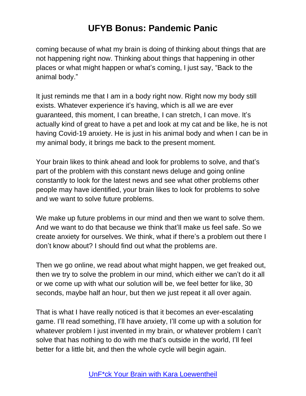coming because of what my brain is doing of thinking about things that are not happening right now. Thinking about things that happening in other places or what might happen or what's coming, I just say, "Back to the animal body."

It just reminds me that I am in a body right now. Right now my body still exists. Whatever experience it's having, which is all we are ever guaranteed, this moment, I can breathe, I can stretch, I can move. It's actually kind of great to have a pet and look at my cat and be like, he is not having Covid-19 anxiety. He is just in his animal body and when I can be in my animal body, it brings me back to the present moment.

Your brain likes to think ahead and look for problems to solve, and that's part of the problem with this constant news deluge and going online constantly to look for the latest news and see what other problems other people may have identified, your brain likes to look for problems to solve and we want to solve future problems.

We make up future problems in our mind and then we want to solve them. And we want to do that because we think that'll make us feel safe. So we create anxiety for ourselves. We think, what if there's a problem out there I don't know about? I should find out what the problems are.

Then we go online, we read about what might happen, we get freaked out, then we try to solve the problem in our mind, which either we can't do it all or we come up with what our solution will be, we feel better for like, 30 seconds, maybe half an hour, but then we just repeat it all over again.

That is what I have really noticed is that it becomes an ever-escalating game. I'll read something, I'll have anxiety, I'll come up with a solution for whatever problem I just invented in my brain, or whatever problem I can't solve that has nothing to do with me that's outside in the world, I'll feel better for a little bit, and then the whole cycle will begin again.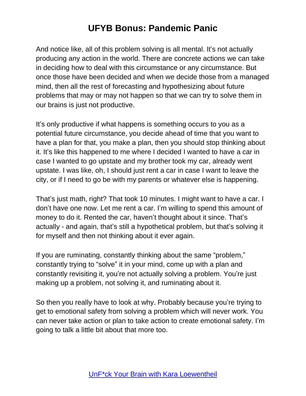And notice like, all of this problem solving is all mental. It's not actually producing any action in the world. There are concrete actions we can take in deciding how to deal with this circumstance or any circumstance. But once those have been decided and when we decide those from a managed mind, then all the rest of forecasting and hypothesizing about future problems that may or may not happen so that we can try to solve them in our brains is just not productive.

It's only productive if what happens is something occurs to you as a potential future circumstance, you decide ahead of time that you want to have a plan for that, you make a plan, then you should stop thinking about it. It's like this happened to me where I decided I wanted to have a car in case I wanted to go upstate and my brother took my car, already went upstate. I was like, oh, I should just rent a car in case I want to leave the city, or if I need to go be with my parents or whatever else is happening.

That's just math, right? That took 10 minutes. I might want to have a car. I don't have one now. Let me rent a car. I'm willing to spend this amount of money to do it. Rented the car, haven't thought about it since. That's actually - and again, that's still a hypothetical problem, but that's solving it for myself and then not thinking about it ever again.

If you are ruminating, constantly thinking about the same "problem," constantly trying to "solve" it in your mind, come up with a plan and constantly revisiting it, you're not actually solving a problem. You're just making up a problem, not solving it, and ruminating about it.

So then you really have to look at why. Probably because you're trying to get to emotional safety from solving a problem which will never work. You can never take action or plan to take action to create emotional safety. I'm going to talk a little bit about that more too.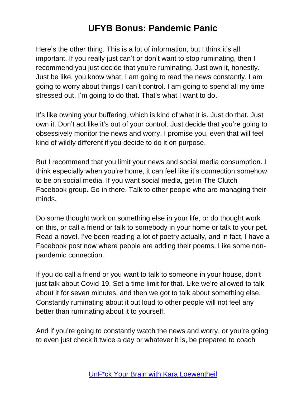Here's the other thing. This is a lot of information, but I think it's all important. If you really just can't or don't want to stop ruminating, then I recommend you just decide that you're ruminating. Just own it, honestly. Just be like, you know what, I am going to read the news constantly. I am going to worry about things I can't control. I am going to spend all my time stressed out. I'm going to do that. That's what I want to do.

It's like owning your buffering, which is kind of what it is. Just do that. Just own it. Don't act like it's out of your control. Just decide that you're going to obsessively monitor the news and worry. I promise you, even that will feel kind of wildly different if you decide to do it on purpose.

But I recommend that you limit your news and social media consumption. I think especially when you're home, it can feel like it's connection somehow to be on social media. If you want social media, get in The Clutch Facebook group. Go in there. Talk to other people who are managing their minds.

Do some thought work on something else in your life, or do thought work on this, or call a friend or talk to somebody in your home or talk to your pet. Read a novel. I've been reading a lot of poetry actually, and in fact, I have a Facebook post now where people are adding their poems. Like some nonpandemic connection.

If you do call a friend or you want to talk to someone in your house, don't just talk about Covid-19. Set a time limit for that. Like we're allowed to talk about it for seven minutes, and then we got to talk about something else. Constantly ruminating about it out loud to other people will not feel any better than ruminating about it to yourself.

And if you're going to constantly watch the news and worry, or you're going to even just check it twice a day or whatever it is, be prepared to coach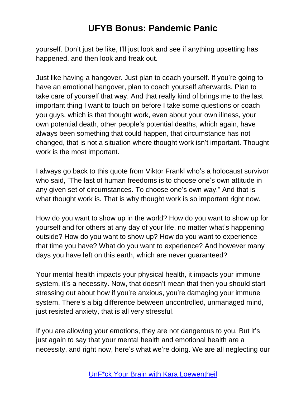yourself. Don't just be like, I'll just look and see if anything upsetting has happened, and then look and freak out.

Just like having a hangover. Just plan to coach yourself. If you're going to have an emotional hangover, plan to coach yourself afterwards. Plan to take care of yourself that way. And that really kind of brings me to the last important thing I want to touch on before I take some questions or coach you guys, which is that thought work, even about your own illness, your own potential death, other people's potential deaths, which again, have always been something that could happen, that circumstance has not changed, that is not a situation where thought work isn't important. Thought work is the most important.

I always go back to this quote from Viktor Frankl who's a holocaust survivor who said, "The last of human freedoms is to choose one's own attitude in any given set of circumstances. To choose one's own way." And that is what thought work is. That is why thought work is so important right now.

How do you want to show up in the world? How do you want to show up for yourself and for others at any day of your life, no matter what's happening outside? How do you want to show up? How do you want to experience that time you have? What do you want to experience? And however many days you have left on this earth, which are never guaranteed?

Your mental health impacts your physical health, it impacts your immune system, it's a necessity. Now, that doesn't mean that then you should start stressing out about how if you're anxious, you're damaging your immune system. There's a big difference between uncontrolled, unmanaged mind, just resisted anxiety, that is all very stressful.

If you are allowing your emotions, they are not dangerous to you. But it's just again to say that your mental health and emotional health are a necessity, and right now, here's what we're doing. We are all neglecting our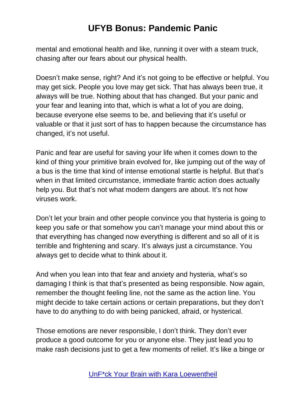mental and emotional health and like, running it over with a steam truck, chasing after our fears about our physical health.

Doesn't make sense, right? And it's not going to be effective or helpful. You may get sick. People you love may get sick. That has always been true, it always will be true. Nothing about that has changed. But your panic and your fear and leaning into that, which is what a lot of you are doing, because everyone else seems to be, and believing that it's useful or valuable or that it just sort of has to happen because the circumstance has changed, it's not useful.

Panic and fear are useful for saving your life when it comes down to the kind of thing your primitive brain evolved for, like jumping out of the way of a bus is the time that kind of intense emotional startle is helpful. But that's when in that limited circumstance, immediate frantic action does actually help you. But that's not what modern dangers are about. It's not how viruses work.

Don't let your brain and other people convince you that hysteria is going to keep you safe or that somehow you can't manage your mind about this or that everything has changed now everything is different and so all of it is terrible and frightening and scary. It's always just a circumstance. You always get to decide what to think about it.

And when you lean into that fear and anxiety and hysteria, what's so damaging I think is that that's presented as being responsible. Now again, remember the thought feeling line, not the same as the action line. You might decide to take certain actions or certain preparations, but they don't have to do anything to do with being panicked, afraid, or hysterical.

Those emotions are never responsible, I don't think. They don't ever produce a good outcome for you or anyone else. They just lead you to make rash decisions just to get a few moments of relief. It's like a binge or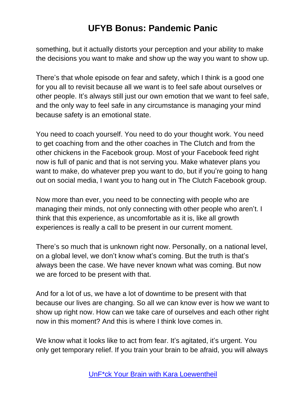something, but it actually distorts your perception and your ability to make the decisions you want to make and show up the way you want to show up.

There's that whole episode on fear and safety, which I think is a good one for you all to revisit because all we want is to feel safe about ourselves or other people. It's always still just our own emotion that we want to feel safe, and the only way to feel safe in any circumstance is managing your mind because safety is an emotional state.

You need to coach yourself. You need to do your thought work. You need to get coaching from and the other coaches in The Clutch and from the other chickens in the Facebook group. Most of your Facebook feed right now is full of panic and that is not serving you. Make whatever plans you want to make, do whatever prep you want to do, but if you're going to hang out on social media, I want you to hang out in The Clutch Facebook group.

Now more than ever, you need to be connecting with people who are managing their minds, not only connecting with other people who aren't. I think that this experience, as uncomfortable as it is, like all growth experiences is really a call to be present in our current moment.

There's so much that is unknown right now. Personally, on a national level, on a global level, we don't know what's coming. But the truth is that's always been the case. We have never known what was coming. But now we are forced to be present with that.

And for a lot of us, we have a lot of downtime to be present with that because our lives are changing. So all we can know ever is how we want to show up right now. How can we take care of ourselves and each other right now in this moment? And this is where I think love comes in.

We know what it looks like to act from fear. It's agitated, it's urgent. You only get temporary relief. If you train your brain to be afraid, you will always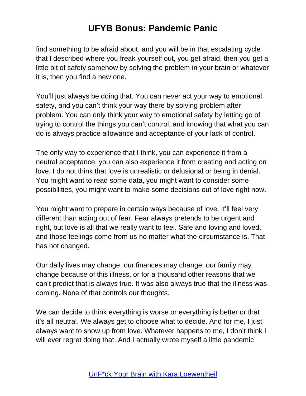find something to be afraid about, and you will be in that escalating cycle that I described where you freak yourself out, you get afraid, then you get a little bit of safety somehow by solving the problem in your brain or whatever it is, then you find a new one.

You'll just always be doing that. You can never act your way to emotional safety, and you can't think your way there by solving problem after problem. You can only think your way to emotional safety by letting go of trying to control the things you can't control, and knowing that what you can do is always practice allowance and acceptance of your lack of control.

The only way to experience that I think, you can experience it from a neutral acceptance, you can also experience it from creating and acting on love. I do not think that love is unrealistic or delusional or being in denial. You might want to read some data, you might want to consider some possibilities, you might want to make some decisions out of love right now.

You might want to prepare in certain ways because of love. It'll feel very different than acting out of fear. Fear always pretends to be urgent and right, but love is all that we really want to feel. Safe and loving and loved, and those feelings come from us no matter what the circumstance is. That has not changed.

Our daily lives may change, our finances may change, our family may change because of this illness, or for a thousand other reasons that we can't predict that is always true. It was also always true that the illness was coming. None of that controls our thoughts.

We can decide to think everything is worse or everything is better or that it's all neutral. We always get to choose what to decide. And for me, I just always want to show up from love. Whatever happens to me, I don't think I will ever regret doing that. And I actually wrote myself a little pandemic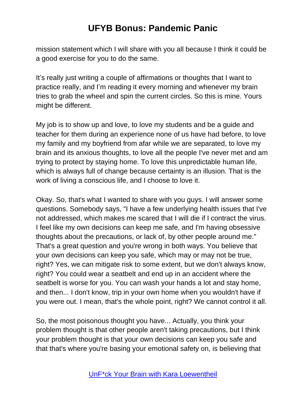mission statement which I will share with you all because I think it could be a good exercise for you to do the same.

It's really just writing a couple of affirmations or thoughts that I want to practice really, and I'm reading it every morning and whenever my brain tries to grab the wheel and spin the current circles. So this is mine. Yours might be different.

My job is to show up and love, to love my students and be a guide and teacher for them during an experience none of us have had before, to love my family and my boyfriend from afar while we are separated, to love my brain and its anxious thoughts, to love all the people I've never met and am trying to protect by staying home. To love this unpredictable human life, which is always full of change because certainty is an illusion. That is the work of living a conscious life, and I choose to love it.

Okay. So, that's what I wanted to share with you guys. I will answer some questions. Somebody says, "I have a few underlying health issues that I've not addressed, which makes me scared that I will die if I contract the virus. I feel like my own decisions can keep me safe, and I'm having obsessive thoughts about the precautions, or lack of, by other people around me." That's a great question and you're wrong in both ways. You believe that your own decisions can keep you safe, which may or may not be true, right? Yes, we can mitigate risk to some extent, but we don't always know, right? You could wear a seatbelt and end up in an accident where the seatbelt is worse for you. You can wash your hands a lot and stay home, and then... I don't know, trip in your own home when you wouldn't have if you were out. I mean, that's the whole point, right? We cannot control it all.

So, the most poisonous thought you have... Actually, you think your problem thought is that other people aren't taking precautions, but I think your problem thought is that your own decisions can keep you safe and that that's where you're basing your emotional safety on, is believing that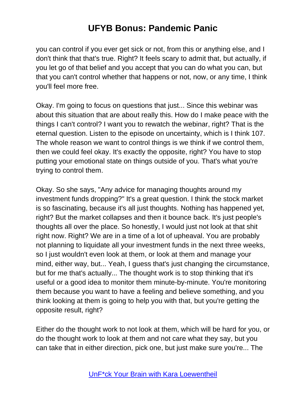you can control if you ever get sick or not, from this or anything else, and I don't think that that's true. Right? It feels scary to admit that, but actually, if you let go of that belief and you accept that you can do what you can, but that you can't control whether that happens or not, now, or any time, I think you'll feel more free.

Okay. I'm going to focus on questions that just... Since this webinar was about this situation that are about really this. How do I make peace with the things I can't control? I want you to rewatch the webinar, right? That is the eternal question. Listen to the episode on uncertainty, which is I think 107. The whole reason we want to control things is we think if we control them, then we could feel okay. It's exactly the opposite, right? You have to stop putting your emotional state on things outside of you. That's what you're trying to control them.

Okay. So she says, "Any advice for managing thoughts around my investment funds dropping?" It's a great question. I think the stock market is so fascinating, because it's all just thoughts. Nothing has happened yet, right? But the market collapses and then it bounce back. It's just people's thoughts all over the place. So honestly, I would just not look at that shit right now. Right? We are in a time of a lot of upheaval. You are probably not planning to liquidate all your investment funds in the next three weeks, so I just wouldn't even look at them, or look at them and manage your mind, either way, but... Yeah, I guess that's just changing the circumstance, but for me that's actually... The thought work is to stop thinking that it's useful or a good idea to monitor them minute-by-minute. You're monitoring them because you want to have a feeling and believe something, and you think looking at them is going to help you with that, but you're getting the opposite result, right?

Either do the thought work to not look at them, which will be hard for you, or do the thought work to look at them and not care what they say, but you can take that in either direction, pick one, but just make sure you're... The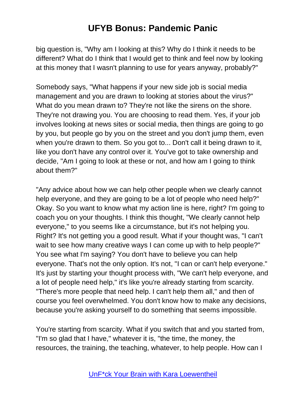big question is, "Why am I looking at this? Why do I think it needs to be different? What do I think that I would get to think and feel now by looking at this money that I wasn't planning to use for years anyway, probably?"

Somebody says, "What happens if your new side job is social media management and you are drawn to looking at stories about the virus?" What do you mean drawn to? They're not like the sirens on the shore. They're not drawing you. You are choosing to read them. Yes, if your job involves looking at news sites or social media, then things are going to go by you, but people go by you on the street and you don't jump them, even when you're drawn to them. So you got to... Don't call it being drawn to it, like you don't have any control over it. You've got to take ownership and decide, "Am I going to look at these or not, and how am I going to think about them?"

"Any advice about how we can help other people when we clearly cannot help everyone, and they are going to be a lot of people who need help?" Okay. So you want to know what my action line is here, right? I'm going to coach you on your thoughts. I think this thought, "We clearly cannot help everyone," to you seems like a circumstance, but it's not helping you. Right? It's not getting you a good result. What if your thought was, "I can't wait to see how many creative ways I can come up with to help people?" You see what I'm saying? You don't have to believe you can help everyone. That's not the only option. It's not, "I can or can't help everyone." It's just by starting your thought process with, "We can't help everyone, and a lot of people need help," it's like you're already starting from scarcity. "There's more people that need help. I can't help them all," and then of course you feel overwhelmed. You don't know how to make any decisions, because you're asking yourself to do something that seems impossible.

You're starting from scarcity. What if you switch that and you started from, "I'm so glad that I have," whatever it is, "the time, the money, the resources, the training, the teaching, whatever, to help people. How can I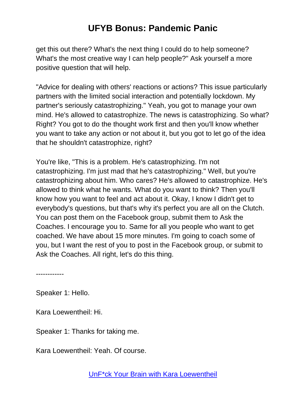get this out there? What's the next thing I could do to help someone? What's the most creative way I can help people?" Ask yourself a more positive question that will help.

"Advice for dealing with others' reactions or actions? This issue particularly partners with the limited social interaction and potentially lockdown. My partner's seriously catastrophizing." Yeah, you got to manage your own mind. He's allowed to catastrophize. The news is catastrophizing. So what? Right? You got to do the thought work first and then you'll know whether you want to take any action or not about it, but you got to let go of the idea that he shouldn't catastrophize, right?

You're like, "This is a problem. He's catastrophizing. I'm not catastrophizing. I'm just mad that he's catastrophizing." Well, but you're catastrophizing about him. Who cares? He's allowed to catastrophize. He's allowed to think what he wants. What do you want to think? Then you'll know how you want to feel and act about it. Okay, I know I didn't get to everybody's questions, but that's why it's perfect you are all on the Clutch. You can post them on the Facebook group, submit them to Ask the Coaches. I encourage you to. Same for all you people who want to get coached. We have about 15 more minutes. I'm going to coach some of you, but I want the rest of you to post in the Facebook group, or submit to Ask the Coaches. All right, let's do this thing.

------------

Speaker 1: Hello.

Kara Loewentheil: Hi.

Speaker 1: Thanks for taking me.

Kara Loewentheil: Yeah. Of course.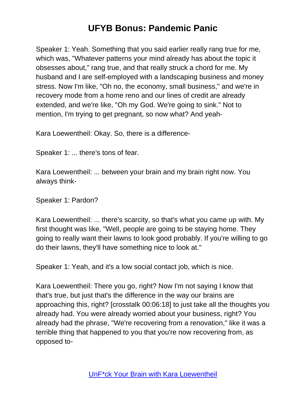Speaker 1: Yeah. Something that you said earlier really rang true for me, which was, "Whatever patterns your mind already has about the topic it obsesses about," rang true, and that really struck a chord for me. My husband and I are self-employed with a landscaping business and money stress. Now I'm like, "Oh no, the economy, small business," and we're in recovery mode from a home reno and our lines of credit are already extended, and we're like, "Oh my God. We're going to sink." Not to mention, I'm trying to get pregnant, so now what? And yeah-

Kara Loewentheil: Okay. So, there is a difference-

Speaker 1: ... there's tons of fear.

Kara Loewentheil: ... between your brain and my brain right now. You always think-

Speaker 1: Pardon?

Kara Loewentheil: ... there's scarcity, so that's what you came up with. My first thought was like, "Well, people are going to be staying home. They going to really want their lawns to look good probably. If you're willing to go do their lawns, they'll have something nice to look at."

Speaker 1: Yeah, and it's a low social contact job, which is nice.

Kara Loewentheil: There you go, right? Now I'm not saying I know that that's true, but just that's the difference in the way our brains are approaching this, right? [crosstalk 00:06:18] to just take all the thoughts you already had. You were already worried about your business, right? You already had the phrase, "We're recovering from a renovation," like it was a terrible thing that happened to you that you're now recovering from, as opposed to-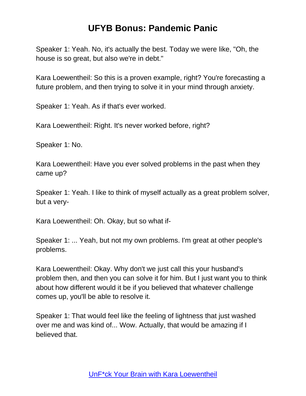Speaker 1: Yeah. No, it's actually the best. Today we were like, "Oh, the house is so great, but also we're in debt."

Kara Loewentheil: So this is a proven example, right? You're forecasting a future problem, and then trying to solve it in your mind through anxiety.

Speaker 1: Yeah. As if that's ever worked.

Kara Loewentheil: Right. It's never worked before, right?

Speaker 1: No.

Kara Loewentheil: Have you ever solved problems in the past when they came up?

Speaker 1: Yeah. I like to think of myself actually as a great problem solver, but a very-

Kara Loewentheil: Oh. Okay, but so what if-

Speaker 1: ... Yeah, but not my own problems. I'm great at other people's problems.

Kara Loewentheil: Okay. Why don't we just call this your husband's problem then, and then you can solve it for him. But I just want you to think about how different would it be if you believed that whatever challenge comes up, you'll be able to resolve it.

Speaker 1: That would feel like the feeling of lightness that just washed over me and was kind of... Wow. Actually, that would be amazing if I believed that.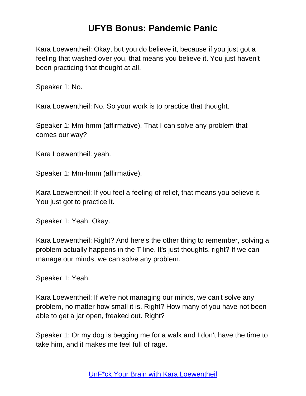Kara Loewentheil: Okay, but you do believe it, because if you just got a feeling that washed over you, that means you believe it. You just haven't been practicing that thought at all.

Speaker 1: No.

Kara Loewentheil: No. So your work is to practice that thought.

Speaker 1: Mm-hmm (affirmative). That I can solve any problem that comes our way?

Kara Loewentheil: yeah.

Speaker 1: Mm-hmm (affirmative).

Kara Loewentheil: If you feel a feeling of relief, that means you believe it. You just got to practice it.

Speaker 1: Yeah. Okay.

Kara Loewentheil: Right? And here's the other thing to remember, solving a problem actually happens in the T line. It's just thoughts, right? If we can manage our minds, we can solve any problem.

Speaker 1: Yeah.

Kara Loewentheil: If we're not managing our minds, we can't solve any problem, no matter how small it is. Right? How many of you have not been able to get a jar open, freaked out. Right?

Speaker 1: Or my dog is begging me for a walk and I don't have the time to take him, and it makes me feel full of rage.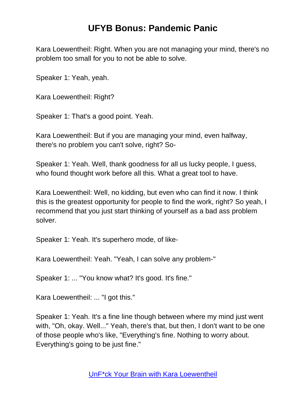Kara Loewentheil: Right. When you are not managing your mind, there's no problem too small for you to not be able to solve.

Speaker 1: Yeah, yeah.

Kara Loewentheil: Right?

Speaker 1: That's a good point. Yeah.

Kara Loewentheil: But if you are managing your mind, even halfway, there's no problem you can't solve, right? So-

Speaker 1: Yeah. Well, thank goodness for all us lucky people, I guess, who found thought work before all this. What a great tool to have.

Kara Loewentheil: Well, no kidding, but even who can find it now. I think this is the greatest opportunity for people to find the work, right? So yeah, I recommend that you just start thinking of yourself as a bad ass problem solver.

Speaker 1: Yeah. It's superhero mode, of like-

Kara Loewentheil: Yeah. "Yeah, I can solve any problem-"

Speaker 1: ... "You know what? It's good. It's fine."

Kara Loewentheil: ... "I got this."

Speaker 1: Yeah. It's a fine line though between where my mind just went with, "Oh, okay. Well..." Yeah, there's that, but then, I don't want to be one of those people who's like, "Everything's fine. Nothing to worry about. Everything's going to be just fine."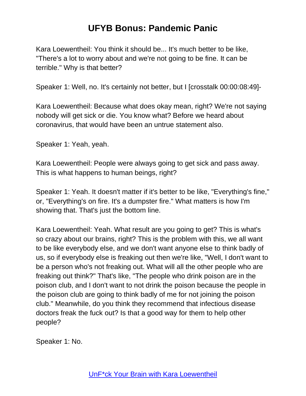Kara Loewentheil: You think it should be... It's much better to be like, "There's a lot to worry about and we're not going to be fine. It can be terrible." Why is that better?

Speaker 1: Well, no. It's certainly not better, but I [crosstalk 00:00:08:49]-

Kara Loewentheil: Because what does okay mean, right? We're not saying nobody will get sick or die. You know what? Before we heard about coronavirus, that would have been an untrue statement also.

Speaker 1: Yeah, yeah.

Kara Loewentheil: People were always going to get sick and pass away. This is what happens to human beings, right?

Speaker 1: Yeah. It doesn't matter if it's better to be like, "Everything's fine," or, "Everything's on fire. It's a dumpster fire." What matters is how I'm showing that. That's just the bottom line.

Kara Loewentheil: Yeah. What result are you going to get? This is what's so crazy about our brains, right? This is the problem with this, we all want to be like everybody else, and we don't want anyone else to think badly of us, so if everybody else is freaking out then we're like, "Well, I don't want to be a person who's not freaking out. What will all the other people who are freaking out think?" That's like, "The people who drink poison are in the poison club, and I don't want to not drink the poison because the people in the poison club are going to think badly of me for not joining the poison club." Meanwhile, do you think they recommend that infectious disease doctors freak the fuck out? Is that a good way for them to help other people?

Speaker 1: No.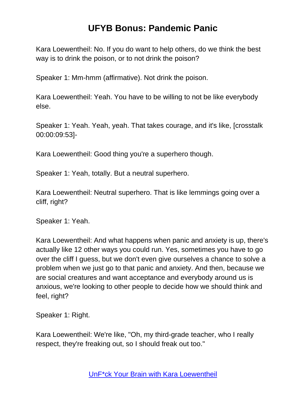Kara Loewentheil: No. If you do want to help others, do we think the best way is to drink the poison, or to not drink the poison?

Speaker 1: Mm-hmm (affirmative). Not drink the poison.

Kara Loewentheil: Yeah. You have to be willing to not be like everybody else.

Speaker 1: Yeah. Yeah, yeah. That takes courage, and it's like, [crosstalk 00:00:09:53]-

Kara Loewentheil: Good thing you're a superhero though.

Speaker 1: Yeah, totally. But a neutral superhero.

Kara Loewentheil: Neutral superhero. That is like lemmings going over a cliff, right?

Speaker 1: Yeah.

Kara Loewentheil: And what happens when panic and anxiety is up, there's actually like 12 other ways you could run. Yes, sometimes you have to go over the cliff I guess, but we don't even give ourselves a chance to solve a problem when we just go to that panic and anxiety. And then, because we are social creatures and want acceptance and everybody around us is anxious, we're looking to other people to decide how we should think and feel, right?

Speaker 1: Right.

Kara Loewentheil: We're like, "Oh, my third-grade teacher, who I really respect, they're freaking out, so I should freak out too."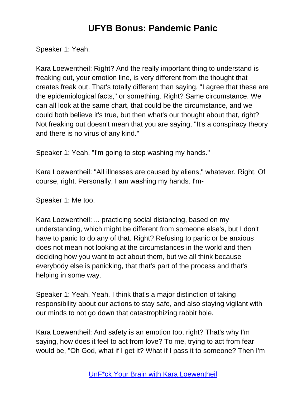Speaker 1: Yeah.

Kara Loewentheil: Right? And the really important thing to understand is freaking out, your emotion line, is very different from the thought that creates freak out. That's totally different than saying, "I agree that these are the epidemiological facts," or something. Right? Same circumstance. We can all look at the same chart, that could be the circumstance, and we could both believe it's true, but then what's our thought about that, right? Not freaking out doesn't mean that you are saying, "It's a conspiracy theory and there is no virus of any kind."

Speaker 1: Yeah. "I'm going to stop washing my hands."

Kara Loewentheil: "All illnesses are caused by aliens," whatever. Right. Of course, right. Personally, I am washing my hands. I'm-

Speaker 1: Me too.

Kara Loewentheil: ... practicing social distancing, based on my understanding, which might be different from someone else's, but I don't have to panic to do any of that. Right? Refusing to panic or be anxious does not mean not looking at the circumstances in the world and then deciding how you want to act about them, but we all think because everybody else is panicking, that that's part of the process and that's helping in some way.

Speaker 1: Yeah. Yeah. I think that's a major distinction of taking responsibility about our actions to stay safe, and also staying vigilant with our minds to not go down that catastrophizing rabbit hole.

Kara Loewentheil: And safety is an emotion too, right? That's why I'm saying, how does it feel to act from love? To me, trying to act from fear would be, "Oh God, what if I get it? What if I pass it to someone? Then I'm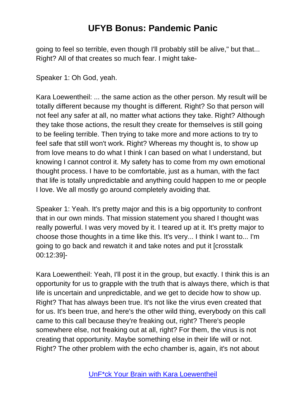going to feel so terrible, even though I'll probably still be alive," but that... Right? All of that creates so much fear. I might take-

Speaker 1: Oh God, yeah.

Kara Loewentheil: ... the same action as the other person. My result will be totally different because my thought is different. Right? So that person will not feel any safer at all, no matter what actions they take. Right? Although they take those actions, the result they create for themselves is still going to be feeling terrible. Then trying to take more and more actions to try to feel safe that still won't work. Right? Whereas my thought is, to show up from love means to do what I think I can based on what I understand, but knowing I cannot control it. My safety has to come from my own emotional thought process. I have to be comfortable, just as a human, with the fact that life is totally unpredictable and anything could happen to me or people I love. We all mostly go around completely avoiding that.

Speaker 1: Yeah. It's pretty major and this is a big opportunity to confront that in our own minds. That mission statement you shared I thought was really powerful. I was very moved by it. I teared up at it. It's pretty major to choose those thoughts in a time like this. It's very... I think I want to... I'm going to go back and rewatch it and take notes and put it [crosstalk 00:12:39]-

Kara Loewentheil: Yeah, I'll post it in the group, but exactly. I think this is an opportunity for us to grapple with the truth that is always there, which is that life is uncertain and unpredictable, and we get to decide how to show up. Right? That has always been true. It's not like the virus even created that for us. It's been true, and here's the other wild thing, everybody on this call came to this call because they're freaking out, right? There's people somewhere else, not freaking out at all, right? For them, the virus is not creating that opportunity. Maybe something else in their life will or not. Right? The other problem with the echo chamber is, again, it's not about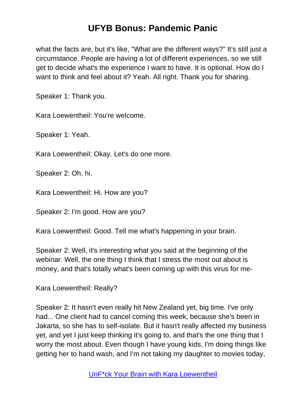what the facts are, but it's like, "What are the different ways?" It's still just a circumstance. People are having a lot of different experiences, so we still get to decide what's the experience I want to have. It is optional. How do I want to think and feel about it? Yeah. All right. Thank you for sharing.

Speaker 1: Thank you.

Kara Loewentheil: You're welcome.

Speaker 1: Yeah.

Kara Loewentheil: Okay. Let's do one more.

Speaker 2: Oh, hi.

Kara Loewentheil: Hi. How are you?

Speaker 2: I'm good. How are you?

Kara Loewentheil: Good. Tell me what's happening in your brain.

Speaker 2: Well, it's interesting what you said at the beginning of the webinar. Well, the one thing I think that I stress the most out about is money, and that's totally what's been coming up with this virus for me-

Kara Loewentheil: Really?

Speaker 2: It hasn't even really hit New Zealand yet, big time. I've only had... One client had to cancel coming this week, because she's been in Jakarta, so she has to self-isolate. But it hasn't really affected my business yet, and yet I just keep thinking it's going to, and that's the one thing that I worry the most about. Even though I have young kids, I'm doing things like getting her to hand wash, and I'm not taking my daughter to movies today,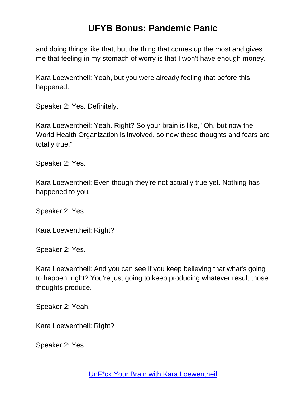and doing things like that, but the thing that comes up the most and gives me that feeling in my stomach of worry is that I won't have enough money.

Kara Loewentheil: Yeah, but you were already feeling that before this happened.

Speaker 2: Yes. Definitely.

Kara Loewentheil: Yeah. Right? So your brain is like, "Oh, but now the World Health Organization is involved, so now these thoughts and fears are totally true."

Speaker 2: Yes.

Kara Loewentheil: Even though they're not actually true yet. Nothing has happened to you.

Speaker 2: Yes.

Kara Loewentheil: Right?

Speaker 2: Yes.

Kara Loewentheil: And you can see if you keep believing that what's going to happen, right? You're just going to keep producing whatever result those thoughts produce.

Speaker 2: Yeah.

Kara Loewentheil: Right?

Speaker 2: Yes.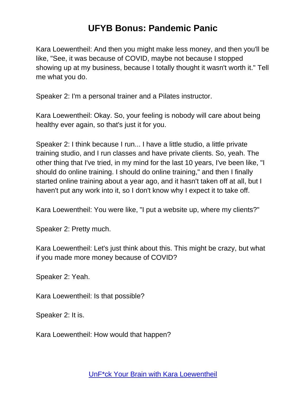Kara Loewentheil: And then you might make less money, and then you'll be like, "See, it was because of COVID, maybe not because I stopped showing up at my business, because I totally thought it wasn't worth it." Tell me what you do.

Speaker 2: I'm a personal trainer and a Pilates instructor.

Kara Loewentheil: Okay. So, your feeling is nobody will care about being healthy ever again, so that's just it for you.

Speaker 2: I think because I run... I have a little studio, a little private training studio, and I run classes and have private clients. So, yeah. The other thing that I've tried, in my mind for the last 10 years, I've been like, "I should do online training. I should do online training," and then I finally started online training about a year ago, and it hasn't taken off at all, but I haven't put any work into it, so I don't know why I expect it to take off.

Kara Loewentheil: You were like, "I put a website up, where my clients?"

Speaker 2: Pretty much.

Kara Loewentheil: Let's just think about this. This might be crazy, but what if you made more money because of COVID?

Speaker 2: Yeah.

Kara Loewentheil: Is that possible?

Speaker 2: It is.

Kara Loewentheil: How would that happen?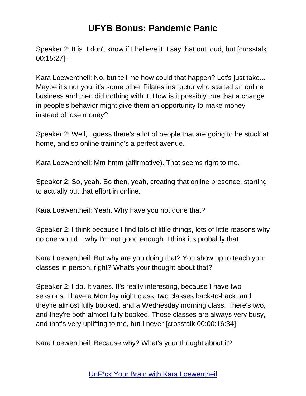Speaker 2: It is. I don't know if I believe it. I say that out loud, but [crosstalk 00:15:27]-

Kara Loewentheil: No, but tell me how could that happen? Let's just take... Maybe it's not you, it's some other Pilates instructor who started an online business and then did nothing with it. How is it possibly true that a change in people's behavior might give them an opportunity to make money instead of lose money?

Speaker 2: Well, I guess there's a lot of people that are going to be stuck at home, and so online training's a perfect avenue.

Kara Loewentheil: Mm-hmm (affirmative). That seems right to me.

Speaker 2: So, yeah. So then, yeah, creating that online presence, starting to actually put that effort in online.

Kara Loewentheil: Yeah. Why have you not done that?

Speaker 2: I think because I find lots of little things, lots of little reasons why no one would... why I'm not good enough. I think it's probably that.

Kara Loewentheil: But why are you doing that? You show up to teach your classes in person, right? What's your thought about that?

Speaker 2: I do. It varies. It's really interesting, because I have two sessions. I have a Monday night class, two classes back-to-back, and they're almost fully booked, and a Wednesday morning class. There's two, and they're both almost fully booked. Those classes are always very busy, and that's very uplifting to me, but I never [crosstalk 00:00:16:34]-

Kara Loewentheil: Because why? What's your thought about it?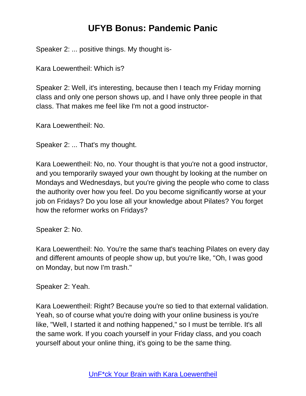Speaker 2: ... positive things. My thought is-

Kara Loewentheil: Which is?

Speaker 2: Well, it's interesting, because then I teach my Friday morning class and only one person shows up, and I have only three people in that class. That makes me feel like I'm not a good instructor-

Kara Loewentheil: No.

Speaker 2: ... That's my thought.

Kara Loewentheil: No, no. Your thought is that you're not a good instructor, and you temporarily swayed your own thought by looking at the number on Mondays and Wednesdays, but you're giving the people who come to class the authority over how you feel. Do you become significantly worse at your job on Fridays? Do you lose all your knowledge about Pilates? You forget how the reformer works on Fridays?

Speaker 2: No.

Kara Loewentheil: No. You're the same that's teaching Pilates on every day and different amounts of people show up, but you're like, "Oh, I was good on Monday, but now I'm trash."

Speaker 2: Yeah.

Kara Loewentheil: Right? Because you're so tied to that external validation. Yeah, so of course what you're doing with your online business is you're like, "Well, I started it and nothing happened," so I must be terrible. It's all the same work. If you coach yourself in your Friday class, and you coach yourself about your online thing, it's going to be the same thing.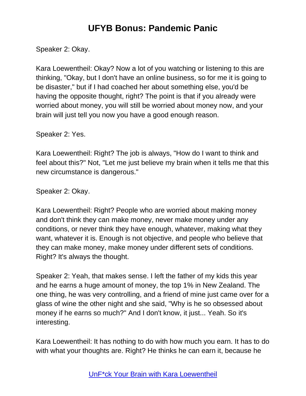Speaker 2: Okay.

Kara Loewentheil: Okay? Now a lot of you watching or listening to this are thinking, "Okay, but I don't have an online business, so for me it is going to be disaster," but if I had coached her about something else, you'd be having the opposite thought, right? The point is that if you already were worried about money, you will still be worried about money now, and your brain will just tell you now you have a good enough reason.

Speaker 2: Yes.

Kara Loewentheil: Right? The job is always, "How do I want to think and feel about this?" Not, "Let me just believe my brain when it tells me that this new circumstance is dangerous."

Speaker 2: Okay.

Kara Loewentheil: Right? People who are worried about making money and don't think they can make money, never make money under any conditions, or never think they have enough, whatever, making what they want, whatever it is. Enough is not objective, and people who believe that they can make money, make money under different sets of conditions. Right? It's always the thought.

Speaker 2: Yeah, that makes sense. I left the father of my kids this year and he earns a huge amount of money, the top 1% in New Zealand. The one thing, he was very controlling, and a friend of mine just came over for a glass of wine the other night and she said, "Why is he so obsessed about money if he earns so much?" And I don't know, it just... Yeah. So it's interesting.

Kara Loewentheil: It has nothing to do with how much you earn. It has to do with what your thoughts are. Right? He thinks he can earn it, because he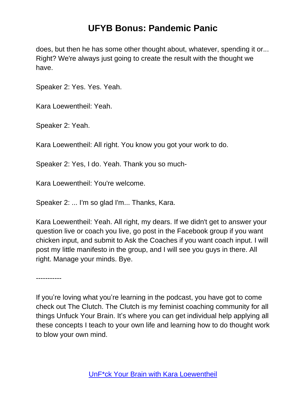does, but then he has some other thought about, whatever, spending it or... Right? We're always just going to create the result with the thought we have.

Speaker 2: Yes. Yes. Yeah.

Kara Loewentheil: Yeah.

Speaker 2: Yeah.

Kara Loewentheil: All right. You know you got your work to do.

Speaker 2: Yes, I do. Yeah. Thank you so much-

Kara Loewentheil: You're welcome.

Speaker 2: ... I'm so glad I'm... Thanks, Kara.

Kara Loewentheil: Yeah. All right, my dears. If we didn't get to answer your question live or coach you live, go post in the Facebook group if you want chicken input, and submit to Ask the Coaches if you want coach input. I will post my little manifesto in the group, and I will see you guys in there. All right. Manage your minds. Bye.

-----------

If you're loving what you're learning in the podcast, you have got to come check out The Clutch. The Clutch is my feminist coaching community for all things Unfuck Your Brain. It's where you can get individual help applying all these concepts I teach to your own life and learning how to do thought work to blow your own mind.